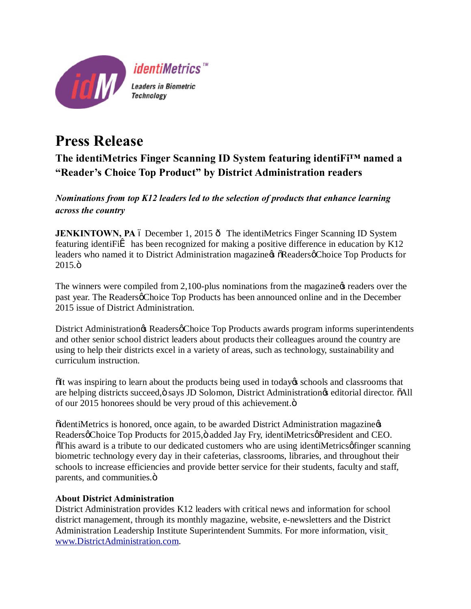

# **Press Release**

## **The identiMetrics Finger Scanning ID System featuring identiFi™ named a "Reader's Choice Top Product" by District Administration readers**

### *Nominations from top K12 leaders led to the selection of products that enhance learning across the country*

**JENKINTOWN, PA** 6 December 1, 2015  $\hat{o}$  The identiMetrics Finger Scanning ID System featuring identiFi $\hat{I}$  has been recognized for making a positive difference in education by K12 leaders who named it to District Administration magazine  $\&$   $\&$  Readers  $\&$  Choice Top Products for  $2015.\ddot{o}$ 

The winners were compiled from 2,100-plus nominations from the magazine  $\alpha$  readers over the past year. The Readers ochoice Top Products has been announced online and in the December 2015 issue of District Administration.

District Administration & Readers of Choice Top Products awards program informs superintendents and other senior school district leaders about products their colleagues around the country are using to help their districts excel in a variety of areas, such as technology, sustainability and curriculum instruction.

 $\delta$ It was inspiring to learn about the products being used in today ts schools and classrooms that are helping districts succeed, ö says JD Solomon, District Administration  $\phi$  editorial director.  $\tilde{o}$ All of our 2015 honorees should be very proud of this achievement. $\ddot{o}$ 

 $\ddot{\text{o}}$  identi $\text{M}$ etrics is honored, once again, to be awarded District Administration magazine  $\alpha$ Readersø Choice Top Products for 2015, ö added Jay Fry, identiMetricsø President and CEO.  $\delta$ This award is a tribute to our dedicated customers who are using identiMetrics of inger scanning biometric technology every day in their cafeterias, classrooms, libraries, and throughout their schools to increase efficiencies and provide better service for their students, faculty and staff, parents, and communities. $\ddot{o}$ 

#### **About District Administration**

District Administration provides K12 leaders with critical news and information for school district management, through its monthly magazine, website, e-newsletters and the District Administration Leadership Institute Superintendent Summits. For more information, visit [www.DistrictAdministration.com.](http://www.districtadministration.com/)